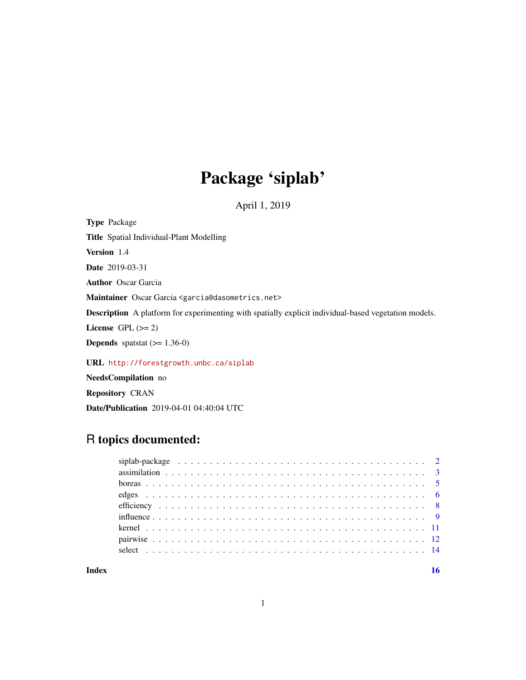## Package 'siplab'

April 1, 2019

Type Package Title Spatial Individual-Plant Modelling Version 1.4 Date 2019-03-31 Author Oscar Garcia Maintainer Oscar Garcia <garcia@dasometrics.net> Description A platform for experimenting with spatially explicit individual-based vegetation models. License GPL  $(>= 2)$ **Depends** spatstat  $(>= 1.36-0)$ URL <http://forestgrowth.unbc.ca/siplab>

NeedsCompilation no

Repository CRAN

Date/Publication 2019-04-01 04:40:04 UTC

## R topics documented: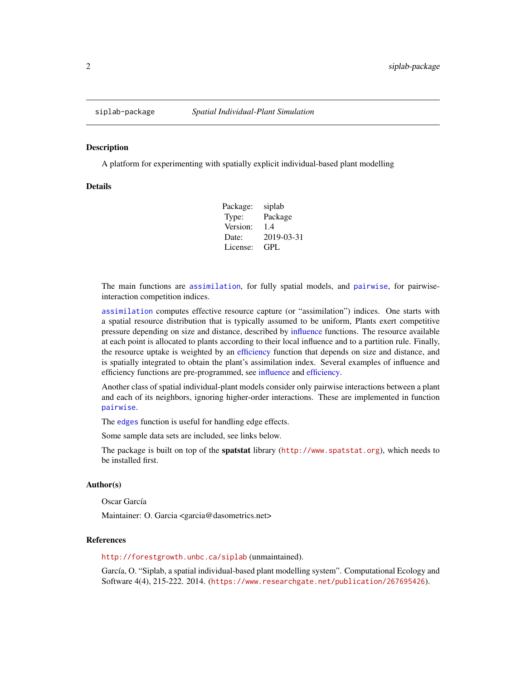<span id="page-1-0"></span>

#### Description

A platform for experimenting with spatially explicit individual-based plant modelling

#### Details

Package: siplab Type: Package Version: 1.4 Date: 2019-03-31 License: GPL

The main functions are [assimilation](#page-2-1), for fully spatial models, and [pairwise](#page-11-1), for pairwiseinteraction competition indices.

[assimilation](#page-2-1) computes effective resource capture (or "assimilation") indices. One starts with a spatial resource distribution that is typically assumed to be uniform, Plants exert competitive pressure depending on size and distance, described by [influence](#page-8-1) functions. The resource available at each point is allocated to plants according to their local influence and to a partition rule. Finally, the resource uptake is weighted by an [efficiency](#page-7-1) function that depends on size and distance, and is spatially integrated to obtain the plant's assimilation index. Several examples of influence and efficiency functions are pre-programmed, see [influence](#page-8-1) and [efficiency.](#page-7-1)

Another class of spatial individual-plant models consider only pairwise interactions between a plant and each of its neighbors, ignoring higher-order interactions. These are implemented in function [pairwise](#page-11-1).

The [edges](#page-5-1) function is useful for handling edge effects.

Some sample data sets are included, see links below.

The package is built on top of the spatstat library (<http://www.spatstat.org>), which needs to be installed first.

#### Author(s)

Oscar García

Maintainer: O. Garcia <garcia@dasometrics.net>

#### References

<http://forestgrowth.unbc.ca/siplab> (unmaintained).

García, O. "Siplab, a spatial individual-based plant modelling system". Computational Ecology and Software 4(4), 215-222. 2014. (<https://www.researchgate.net/publication/267695426>).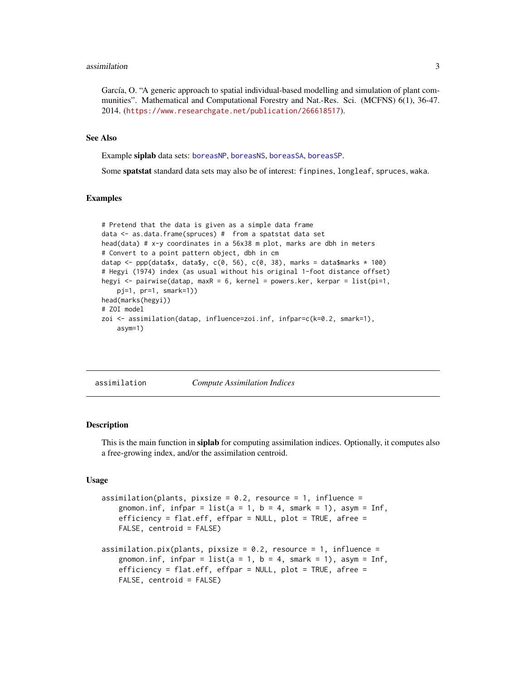#### <span id="page-2-0"></span>assimilation 3

García, O. "A generic approach to spatial individual-based modelling and simulation of plant communities". Mathematical and Computational Forestry and Nat.-Res. Sci. (MCFNS) 6(1), 36-47. 2014. (<https://www.researchgate.net/publication/266618517>).

#### See Also

Example siplab data sets: [boreasNP](#page-4-1), [boreasNS](#page-4-1), [boreasSA](#page-4-1), [boreasSP](#page-4-1).

Some spatstat standard data sets may also be of interest: finpines, longleaf, spruces, waka.

## Examples

```
# Pretend that the data is given as a simple data frame
data <- as.data.frame(spruces) # from a spatstat data set
head(data) # x-y coordinates in a 56x38 m plot, marks are dbh in meters
# Convert to a point pattern object, dbh in cm
datap <- ppp(data$x, data$y, c(0, 56), c(0, 38), marks = data$marks * 100)
# Hegyi (1974) index (as usual without his original 1-foot distance offset)
hegyi <- pairwise(datap, maxR = 6, kernel = powers.ker, kerpar = list(pi=1,
   pj=1, pr=1, smark=1))
head(marks(hegyi))
# ZOI model
zoi <- assimilation(datap, influence=zoi.inf, infpar=c(k=0.2, smark=1),
   asym=1)
```
<span id="page-2-1"></span>assimilation *Compute Assimilation Indices*

## Description

This is the main function in siplab for computing assimilation indices. Optionally, it computes also a free-growing index, and/or the assimilation centroid.

#### Usage

```
assimation(plants, pixels = 0.2, resource = 1, influence =gnomon.inf, infpar = list(a = 1, b = 4, smark = 1), asym = Inf,
   efficiency = flat.eff, effpar = NULL, plot = TRUE, afree =
   FALSE, centroid = FALSE)
assimation.pyix(plants, pixels = 0.2, resource = 1, influence =gnomon.inf, infpar = list(a = 1, b = 4, smart = 1), asym = Inf,efficiency = flat.eff, effpar = NULL, plot = TRUE, afree =
   FALSE, centroid = FALSE)
```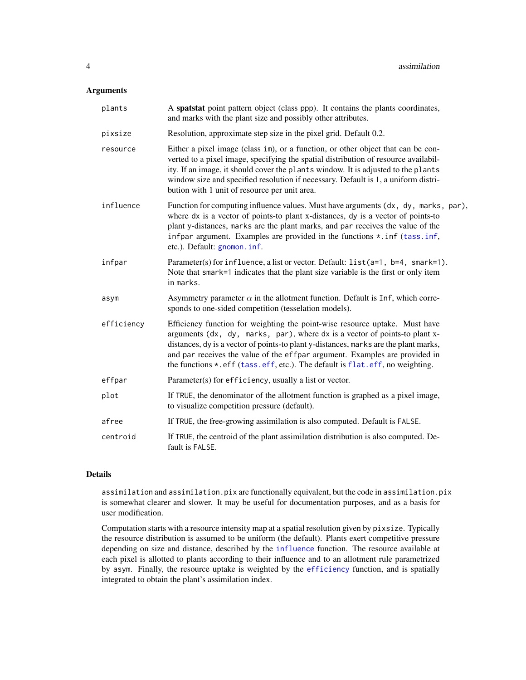## <span id="page-3-0"></span>Arguments

| plants     | A spatstat point pattern object (class ppp). It contains the plants coordinates,<br>and marks with the plant size and possibly other attributes.                                                                                                                                                                                                                                                                 |
|------------|------------------------------------------------------------------------------------------------------------------------------------------------------------------------------------------------------------------------------------------------------------------------------------------------------------------------------------------------------------------------------------------------------------------|
| pixsize    | Resolution, approximate step size in the pixel grid. Default 0.2.                                                                                                                                                                                                                                                                                                                                                |
| resource   | Either a pixel image (class im), or a function, or other object that can be con-<br>verted to a pixel image, specifying the spatial distribution of resource availabil-<br>ity. If an image, it should cover the plants window. It is adjusted to the plants<br>window size and specified resolution if necessary. Default is 1, a uniform distri-<br>bution with 1 unit of resource per unit area.              |
| influence  | Function for computing influence values. Must have arguments (dx, dy, marks, par),<br>where dx is a vector of points-to plant x-distances, dy is a vector of points-to<br>plant y-distances, marks are the plant marks, and par receives the value of the<br>infpar argument. Examples are provided in the functions *. inf (tass.inf,<br>etc.). Default: gnomon. inf.                                           |
| infpar     | Parameter(s) for influence, a list or vector. Default: list(a=1, b=4, smark=1).<br>Note that smark=1 indicates that the plant size variable is the first or only item<br>in marks.                                                                                                                                                                                                                               |
| asym       | Asymmetry parameter $\alpha$ in the allotment function. Default is Inf, which corre-<br>sponds to one-sided competition (tesselation models).                                                                                                                                                                                                                                                                    |
| efficiency | Efficiency function for weighting the point-wise resource uptake. Must have<br>arguments (dx, dy, marks, par), where dx is a vector of points-to plant x-<br>distances, dy is a vector of points-to plant y-distances, marks are the plant marks,<br>and par receives the value of the effpar argument. Examples are provided in<br>the functions *.eff (tass.eff, etc.). The default is flat.eff, no weighting. |
| effpar     | Parameter(s) for efficiency, usually a list or vector.                                                                                                                                                                                                                                                                                                                                                           |
| plot       | If TRUE, the denominator of the allotment function is graphed as a pixel image,<br>to visualize competition pressure (default).                                                                                                                                                                                                                                                                                  |
| afree      | If TRUE, the free-growing assimilation is also computed. Default is FALSE.                                                                                                                                                                                                                                                                                                                                       |
| centroid   | If TRUE, the centroid of the plant assimilation distribution is also computed. De-<br>fault is FALSE.                                                                                                                                                                                                                                                                                                            |

## Details

assimilation and assimilation.pix are functionally equivalent, but the code in assimilation.pix is somewhat clearer and slower. It may be useful for documentation purposes, and as a basis for user modification.

Computation starts with a resource intensity map at a spatial resolution given by pixsize. Typically the resource distribution is assumed to be uniform (the default). Plants exert competitive pressure depending on size and distance, described by the [influence](#page-8-1) function. The resource available at each pixel is allotted to plants according to their influence and to an allotment rule parametrized by asym. Finally, the resource uptake is weighted by the [efficiency](#page-7-1) function, and is spatially integrated to obtain the plant's assimilation index.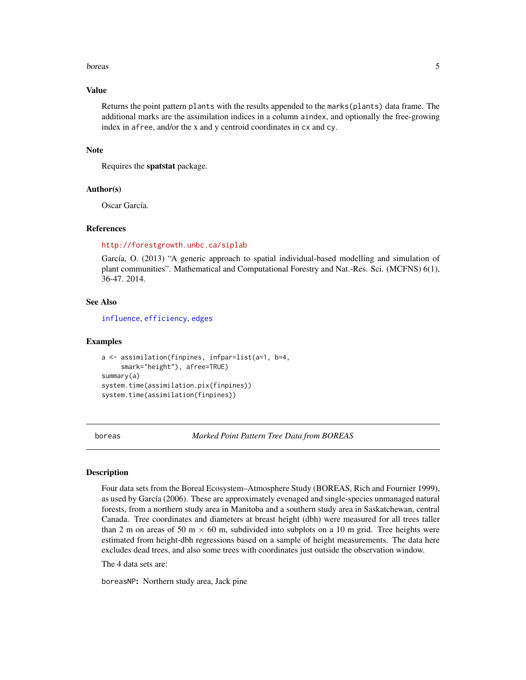#### <span id="page-4-0"></span>boreas 5

#### Value

Returns the point pattern plants with the results appended to the marks(plants) data frame. The additional marks are the assimilation indices in a column aindex, and optionally the free-growing index in afree, and/or the x and y centroid coordinates in cx and cy.

#### **Note**

Requires the spatstat package.

## Author(s)

Oscar García.

#### **References**

<http://forestgrowth.unbc.ca/siplab>

García, O. (2013) "A generic approach to spatial individual-based modelling and simulation of plant communities". Mathematical and Computational Forestry and Nat.-Res. Sci. (MCFNS) 6(1), 36-47. 2014.

## See Also

[influence](#page-8-1), [efficiency](#page-7-1), [edges](#page-5-1)

#### Examples

```
a <- assimilation(finpines, infpar=list(a=1, b=4,
     smark="height"), afree=TRUE)
summary(a)
system.time(assimilation.pix(finpines))
system.time(assimilation(finpines))
```
boreas *Marked Point Pattern Tree Data from BOREAS*

#### <span id="page-4-1"></span>**Description**

Four data sets from the Boreal Ecosystem–Atmosphere Study (BOREAS, Rich and Fournier 1999), as used by García (2006). These are approximately evenaged and single-species unmanaged natural forests, from a northern study area in Manitoba and a southern study area in Saskatchewan, central Canada. Tree coordinates and diameters at breast height (dbh) were measured for all trees taller than 2 m on areas of 50 m  $\times$  60 m, subdivided into subplots on a 10 m grid. Tree heights were estimated from height-dbh regressions based on a sample of height measurements. The data here excludes dead trees, and also some trees with coordinates just outside the observation window.

The 4 data sets are:

boreasNP: Northern study area, Jack pine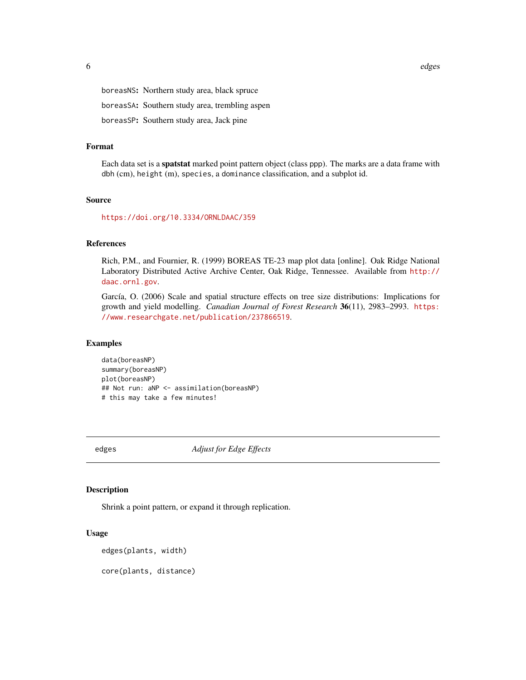<span id="page-5-0"></span>boreasNS: Northern study area, black spruce boreasSA: Southern study area, trembling aspen boreasSP: Southern study area, Jack pine

## Format

Each data set is a spatstat marked point pattern object (class ppp). The marks are a data frame with dbh (cm), height (m), species, a dominance classification, and a subplot id.

## Source

<https://doi.org/10.3334/ORNLDAAC/359>

## References

Rich, P.M., and Fournier, R. (1999) BOREAS TE-23 map plot data [online]. Oak Ridge National Laboratory Distributed Active Archive Center, Oak Ridge, Tennessee. Available from [http://](http://daac.ornl.gov) [daac.ornl.gov](http://daac.ornl.gov).

García, O. (2006) Scale and spatial structure effects on tree size distributions: Implications for growth and yield modelling. *Canadian Journal of Forest Research* 36(11), 2983–2993. [https:](https://www.researchgate.net/publication/237866519) [//www.researchgate.net/publication/237866519](https://www.researchgate.net/publication/237866519).

#### Examples

data(boreasNP) summary(boreasNP) plot(boreasNP) ## Not run: aNP <- assimilation(boreasNP) # this may take a few minutes!

<span id="page-5-1"></span>edges *Adjust for Edge Effects*

#### Description

Shrink a point pattern, or expand it through replication.

## Usage

```
edges(plants, width)
```
core(plants, distance)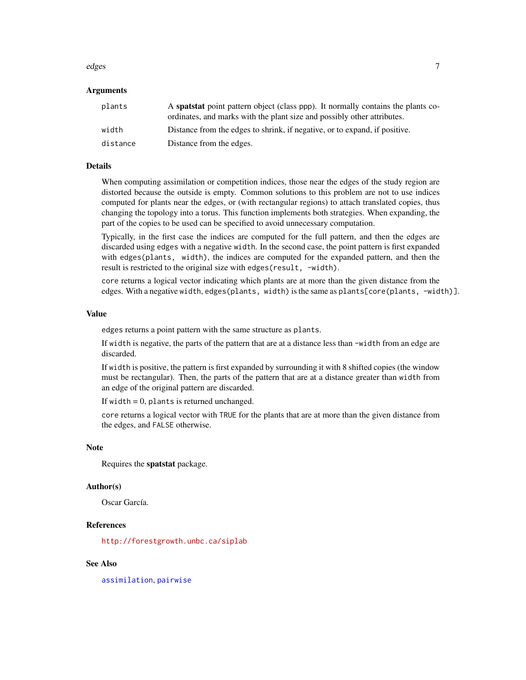#### <span id="page-6-0"></span>edges and the contract of the contract of the contract of the contract of the contract of the contract of the contract of the contract of the contract of the contract of the contract of the contract of the contract of the

## Arguments

| plants   | A <b>spatstat</b> point pattern object (class ppp). It normally contains the plants co-<br>ordinates, and marks with the plant size and possibly other attributes. |
|----------|--------------------------------------------------------------------------------------------------------------------------------------------------------------------|
| width    | Distance from the edges to shrink, if negative, or to expand, if positive.                                                                                         |
| distance | Distance from the edges.                                                                                                                                           |

## Details

When computing assimilation or competition indices, those near the edges of the study region are distorted because the outside is empty. Common solutions to this problem are not to use indices computed for plants near the edges, or (with rectangular regions) to attach translated copies, thus changing the topology into a torus. This function implements both strategies. When expanding, the part of the copies to be used can be specified to avoid unnecessary computation.

Typically, in the first case the indices are computed for the full pattern, and then the edges are discarded using edges with a negative width. In the second case, the point pattern is first expanded with edges(plants, width), the indices are computed for the expanded pattern, and then the result is restricted to the original size with edges (result, -width).

core returns a logical vector indicating which plants are at more than the given distance from the edges. With a negative width, edges(plants, width) is the same as plants[core(plants, -width)].

## Value

edges returns a point pattern with the same structure as plants.

If width is negative, the parts of the pattern that are at a distance less than -width from an edge are discarded.

If width is positive, the pattern is first expanded by surrounding it with 8 shifted copies (the window must be rectangular). Then, the parts of the pattern that are at a distance greater than width from an edge of the original pattern are discarded.

If width  $= 0$ , plants is returned unchanged.

core returns a logical vector with TRUE for the plants that are at more than the given distance from the edges, and FALSE otherwise.

#### Note

Requires the spatstat package.

#### Author(s)

Oscar García.

#### References

<http://forestgrowth.unbc.ca/siplab>

## See Also

[assimilation](#page-2-1), [pairwise](#page-11-1)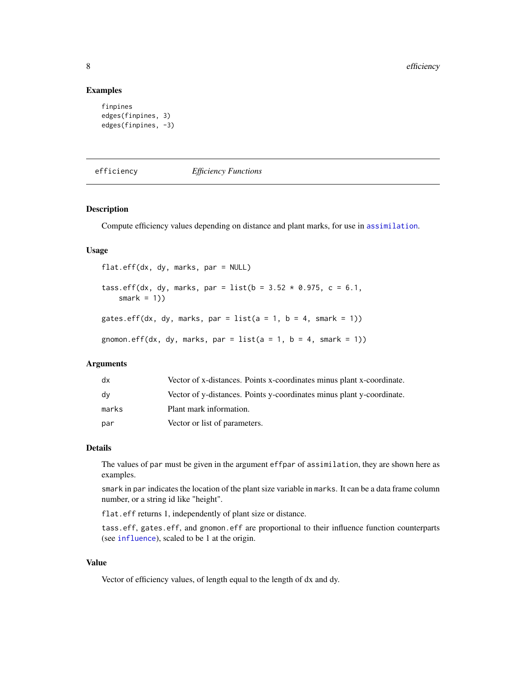#### Examples

```
finpines
edges(finpines, 3)
edges(finpines, -3)
```
<span id="page-7-1"></span>efficiency *Efficiency Functions*

## <span id="page-7-2"></span>Description

Compute efficiency values depending on distance and plant marks, for use in [assimilation](#page-2-1).

#### Usage

flat.eff(dx, dy, marks, par = NULL) tass.eff(dx, dy, marks, par = list( $b = 3.52 \times 0.975$ , c = 6.1, smark =  $1)$ ) gates.eff(dx, dy, marks, par = list(a = 1, b = 4, smark = 1)) gnomon.eff(dx, dy, marks, par =  $list(a = 1, b = 4, smart = 1))$ 

## Arguments

| dx    | Vector of x-distances. Points x-coordinates minus plant x-coordinate. |
|-------|-----------------------------------------------------------------------|
| dv    | Vector of y-distances. Points y-coordinates minus plant y-coordinate. |
| marks | Plant mark information.                                               |
| par   | Vector or list of parameters.                                         |

#### Details

The values of par must be given in the argument effpar of assimilation, they are shown here as examples.

smark in par indicates the location of the plant size variable in marks. It can be a data frame column number, or a string id like "height".

flat.eff returns 1, independently of plant size or distance.

tass.eff, gates.eff, and gnomon.eff are proportional to their influence function counterparts (see [influence](#page-8-1)), scaled to be 1 at the origin.

## Value

Vector of efficiency values, of length equal to the length of dx and dy.

<span id="page-7-0"></span>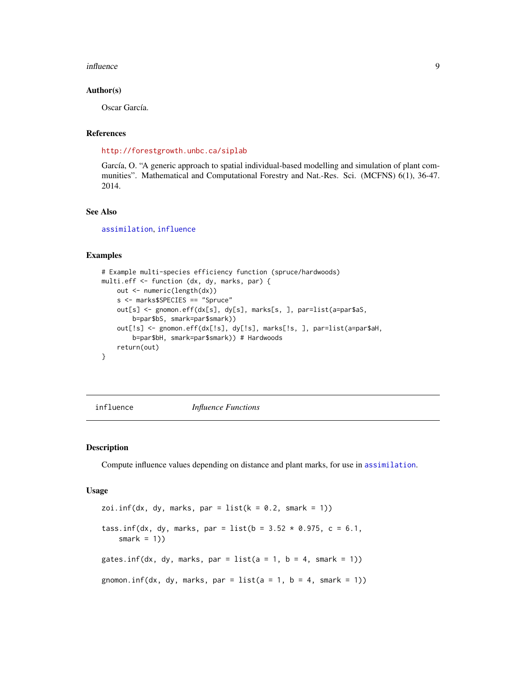#### <span id="page-8-0"></span>influence 9

#### Author(s)

Oscar García.

## References

<http://forestgrowth.unbc.ca/siplab>

García, O. "A generic approach to spatial individual-based modelling and simulation of plant communities". Mathematical and Computational Forestry and Nat.-Res. Sci. (MCFNS) 6(1), 36-47. 2014.

## See Also

[assimilation](#page-2-1), [influence](#page-8-1)

#### Examples

```
# Example multi-species efficiency function (spruce/hardwoods)
multi.eff <- function (dx, dy, marks, par) {
   out <- numeric(length(dx))
    s <- marks$SPECIES == "Spruce"
   out[s] <- gnomon.eff(dx[s], dy[s], marks[s, ], par=list(a=par$aS,
       b=par$bS, smark=par$smark))
    out[!s] <- gnomon.eff(dx[!s], dy[!s], marks[!s, ], par=list(a=par$aH,
        b=par$bH, smark=par$smark)) # Hardwoods
    return(out)
}
```
<span id="page-8-1"></span>influence *Influence Functions*

#### <span id="page-8-2"></span>Description

Compute influence values depending on distance and plant marks, for use in [assimilation](#page-2-1).

#### Usage

```
zoi.inf(dx, dy, marks, par = list(k = 0.2, snark = 1))tass.inf(dx, dy, marks, par = list(b = 3.52 \times 0.975, c = 6.1,
    smark = 1)gates.inf(dx, dy, marks, par = list(a = 1, b = 4, smark = 1))
gnomon.inf(dx, dy, marks, par = list(a = 1, b = 4, smark = 1))
```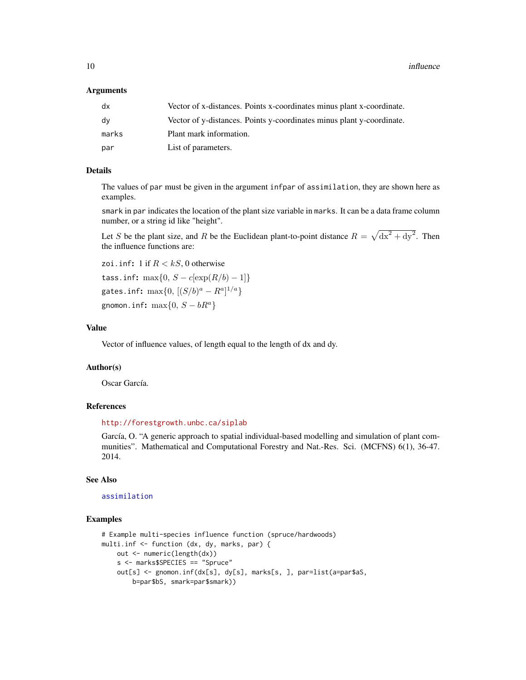<span id="page-9-0"></span>10 influence in the state of the state of the state of the state of the state of the state of the state of the state of the state of the state of the state of the state of the state of the state of the state of the state o

#### Arguments

| dx    | Vector of x-distances. Points x-coordinates minus plant x-coordinate. |
|-------|-----------------------------------------------------------------------|
| dy    | Vector of y-distances. Points y-coordinates minus plant y-coordinate. |
| marks | Plant mark information.                                               |
| par   | List of parameters.                                                   |

## Details

The values of par must be given in the argument infpar of assimilation, they are shown here as examples.

smark in par indicates the location of the plant size variable in marks. It can be a data frame column number, or a string id like "height".

Let S be the plant size, and R be the Euclidean plant-to-point distance  $R = \sqrt{dx^2 + dy^2}$ . Then the influence functions are:

```
zoi.inf: 1 if R < kS, 0 otherwise
tass.inf: max\{0, S - c[\exp(R/b) - 1]\}gates.inf: \max\{0, \, [(S/b)^a - R^a]^{1/a}\}gnomon.inf: \max\{0, S - bR^a\}
```
#### Value

Vector of influence values, of length equal to the length of dx and dy.

## Author(s)

Oscar García.

## References

#### <http://forestgrowth.unbc.ca/siplab>

García, O. "A generic approach to spatial individual-based modelling and simulation of plant communities". Mathematical and Computational Forestry and Nat.-Res. Sci. (MCFNS) 6(1), 36-47. 2014.

## See Also

## [assimilation](#page-2-1)

#### Examples

```
# Example multi-species influence function (spruce/hardwoods)
multi.inf <- function (dx, dy, marks, par) {
   out <- numeric(length(dx))
   s <- marks$SPECIES == "Spruce"
   out[s] <- gnomon.inf(dx[s], dy[s], marks[s, ], par=list(a=par$aS,
       b=par$bS, smark=par$smark))
```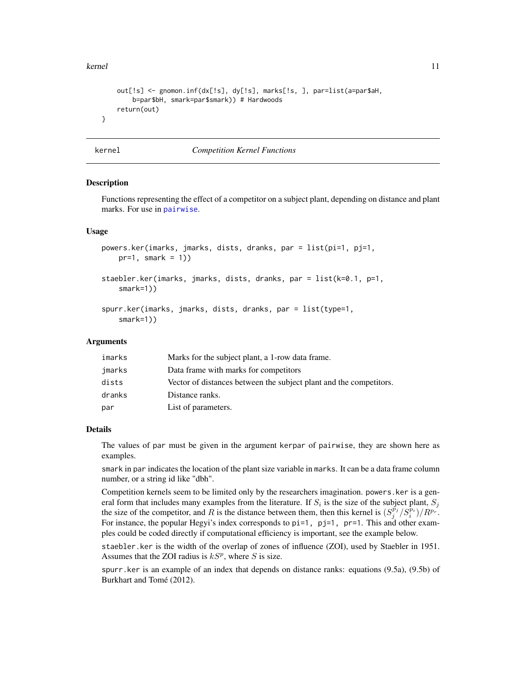#### <span id="page-10-0"></span>kernel and the set of the set of the set of the set of the set of the set of the set of the set of the set of the set of the set of the set of the set of the set of the set of the set of the set of the set of the set of th

```
out[!s] <- gnomon.inf(dx[!s], dy[!s], marks[!s, ], par=list(a=par$aH,
   b=par$bH, smark=par$smark)) # Hardwoods
return(out)
```
<span id="page-10-2"></span>

}

## kernel *Competition Kernel Functions*

#### <span id="page-10-1"></span>Description

Functions representing the effect of a competitor on a subject plant, depending on distance and plant marks. For use in [pairwise](#page-11-1).

## Usage

```
powers.ker(imarks, jmarks, dists, dranks, par = list(pi=1, pj=1,
   pr=1, smark = 1))
staebler.ker(imarks, jmarks, dists, dranks, par = list(k=0.1, p=1,
   smark=1))
spurr.ker(imarks, jmarks, dists, dranks, par = list(type=1,
    smark=1))
```
## Arguments

| imarks | Marks for the subject plant, a 1-row data frame.                   |
|--------|--------------------------------------------------------------------|
| jmarks | Data frame with marks for competitors                              |
| dists  | Vector of distances between the subject plant and the competitors. |
| dranks | Distance ranks.                                                    |
| par    | List of parameters.                                                |

## Details

The values of par must be given in the argument kerpar of pairwise, they are shown here as examples.

smark in par indicates the location of the plant size variable in marks. It can be a data frame column number, or a string id like "dbh".

Competition kernels seem to be limited only by the researchers imagination. powers.ker is a general form that includes many examples from the literature. If  $S_i$  is the size of the subject plant,  $S_j$ the size of the competitor, and R is the distance between them, then this kernel is  $(S_j^{\vec{p}_j}/S_i^{\vec{p}_i})/R^{p_r}$ . For instance, the popular Hegyi's index corresponds to  $pi=1$ ,  $pi=1$ ,  $pr=1$ . This and other examples could be coded directly if computational efficiency is important, see the example below.

staebler.ker is the width of the overlap of zones of influence (ZOI), used by Staebler in 1951. Assumes that the ZOI radius is  $kS<sup>p</sup>$ , where S is size.

spurr.ker is an example of an index that depends on distance ranks: equations (9.5a), (9.5b) of Burkhart and Tomé (2012).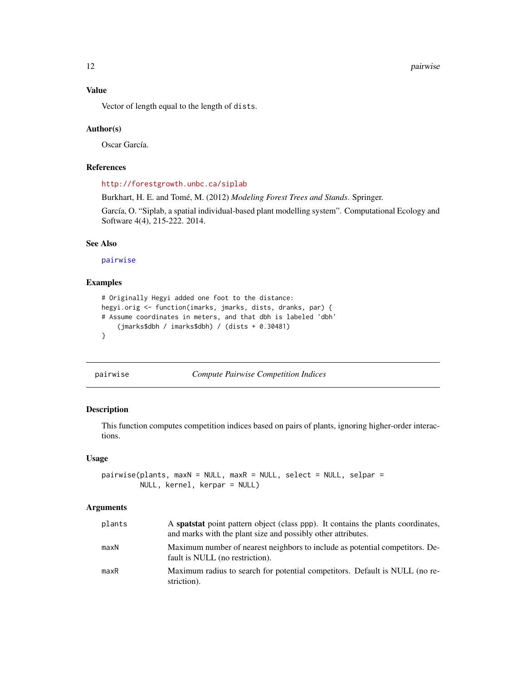<span id="page-11-0"></span>Vector of length equal to the length of dists.

#### Author(s)

Oscar García.

#### References

<http://forestgrowth.unbc.ca/siplab>

Burkhart, H. E. and Tomé, M. (2012) *Modeling Forest Trees and Stands*. Springer.

García, O. "Siplab, a spatial individual-based plant modelling system". Computational Ecology and Software 4(4), 215-222. 2014.

## See Also

[pairwise](#page-11-1)

## Examples

```
# Originally Hegyi added one foot to the distance:
hegyi.orig <- function(imarks, jmarks, dists, dranks, par) {
# Assume coordinates in meters, and that dbh is labeled 'dbh'
    (jmarks$dbh / imarks$dbh) / (dists + 0.30481)
}
```
<span id="page-11-1"></span>pairwise *Compute Pairwise Competition Indices*

#### Description

This function computes competition indices based on pairs of plants, ignoring higher-order interactions.

## Usage

```
pairwise(plants, maxN = NULL, maxR = NULL, select = NULL, selpar =
        NULL, kernel, kerpar = NULL)
```
#### Arguments

| plants | A spatstat point pattern object (class ppp). It contains the plants coordinates,<br>and marks with the plant size and possibly other attributes. |
|--------|--------------------------------------------------------------------------------------------------------------------------------------------------|
| maxN   | Maximum number of nearest neighbors to include as potential competitors. De-<br>fault is NULL (no restriction).                                  |
| maxR   | Maximum radius to search for potential competitors. Default is NULL (no re-<br>striction).                                                       |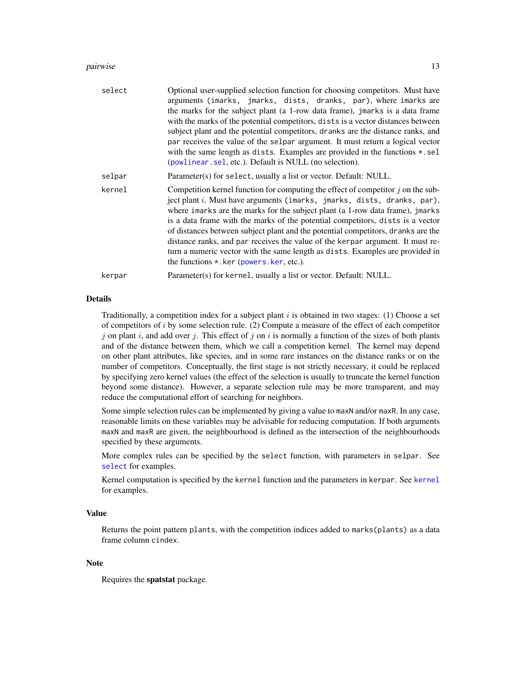#### <span id="page-12-0"></span>pairwise the contract of the contract of the contract of the contract of the contract of the contract of the contract of the contract of the contract of the contract of the contract of the contract of the contract of the c

| select | Optional user-supplied selection function for choosing competitors. Must have<br>arguments (imarks, jmarks, dists, dranks, par), where imarks are<br>the marks for the subject plant (a 1-row data frame), jmarks is a data frame<br>with the marks of the potential competitors, dists is a vector distances between<br>subject plant and the potential competitors, dranks are the distance ranks, and<br>par receives the value of the selpar argument. It must return a logical vector<br>with the same length as dists. Examples are provided in the functions $\star$ . sel<br>(powlinear. sel, etc.). Default is NULL (no selection). |
|--------|----------------------------------------------------------------------------------------------------------------------------------------------------------------------------------------------------------------------------------------------------------------------------------------------------------------------------------------------------------------------------------------------------------------------------------------------------------------------------------------------------------------------------------------------------------------------------------------------------------------------------------------------|
| selpar | Parameter(s) for select, usually a list or vector. Default: NULL.                                                                                                                                                                                                                                                                                                                                                                                                                                                                                                                                                                            |
| kernel | Competition kernel function for computing the effect of competitor $j$ on the sub-<br>ject plant i. Must have arguments (imarks, jmarks, dists, dranks, par),<br>where imarks are the marks for the subject plant (a 1-row data frame), jmarks<br>is a data frame with the marks of the potential competitors, dists is a vector<br>of distances between subject plant and the potential competitors, dranks are the<br>distance ranks, and par receives the value of the kerpar argument. It must re-<br>turn a numeric vector with the same length as dists. Examples are provided in<br>the functions $\star$ . ker (powers. ker, etc.).  |
| kerpar | Parameter(s) for kernel, usually a list or vector. Default: NULL.                                                                                                                                                                                                                                                                                                                                                                                                                                                                                                                                                                            |

## Details

Traditionally, a competition index for a subject plant  $i$  is obtained in two stages: (1) Choose a set of competitors of  $i$  by some selection rule. (2) Compute a measure of the effect of each competitor j on plant i, and add over j. This effect of j on i is normally a function of the sizes of both plants and of the distance between them, which we call a competition kernel. The kernel may depend on other plant attributes, like species, and in some rare instances on the distance ranks or on the number of competitors. Conceptually, the first stage is not strictly necessary, it could be replaced by specifying zero kernel values (the effect of the selection is usually to truncate the kernel function beyond some distance). However, a separate selection rule may be more transparent, and may reduce the computational effort of searching for neighbors.

Some simple selection rules can be implemented by giving a value to maxN and/or maxR. In any case, reasonable limits on these variables may be advisable for reducing computation. If both arguments maxN and maxR are given, the neighbourhood is defined as the intersection of the neighbourhoods specified by these arguments.

More complex rules can be specified by the select function, with parameters in selpar. See [select](#page-13-2) for examples.

Kernel computation is specified by the kernel function and the parameters in kerpar. See [kernel](#page-10-2) for examples.

## Value

Returns the point pattern plants, with the competition indices added to marks(plants) as a data frame column cindex.

## Note

Requires the spatstat package.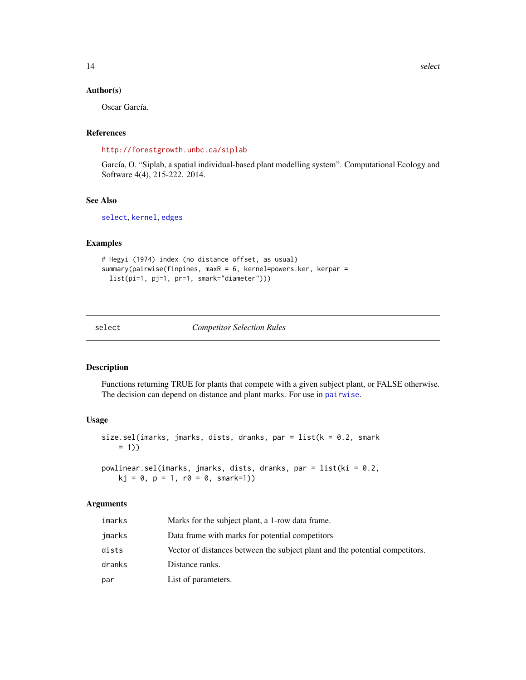#### <span id="page-13-0"></span>Author(s)

Oscar García.

## References

<http://forestgrowth.unbc.ca/siplab>

García, O. "Siplab, a spatial individual-based plant modelling system". Computational Ecology and Software 4(4), 215-222. 2014.

## See Also

[select](#page-13-2), [kernel](#page-10-2), [edges](#page-5-1)

## Examples

```
# Hegyi (1974) index (no distance offset, as usual)
summary(pairwise(finpines, maxR = 6, kernel=powers.ker, kerpar =
 list(pi=1, pj=1, pr=1, smark="diameter")))
```
<span id="page-13-2"></span>select *Competitor Selection Rules*

## <span id="page-13-1"></span>Description

Functions returning TRUE for plants that compete with a given subject plant, or FALSE otherwise. The decision can depend on distance and plant marks. For use in [pairwise](#page-11-1).

## Usage

```
size.sel(imarks, jmarks, dists, dranks, par = list(k = 0.2, snark)= 1)
```

```
powlinear.sel(imarks, jmarks, dists, dranks, par = list(ki = 0.2,
   kj = 0, p = 1, r0 = 0, smark=1)
```
## Arguments

| imarks | Marks for the subject plant, a 1-row data frame.                             |
|--------|------------------------------------------------------------------------------|
| jmarks | Data frame with marks for potential competitors                              |
| dists  | Vector of distances between the subject plant and the potential competitors. |
| dranks | Distance ranks.                                                              |
| par    | List of parameters.                                                          |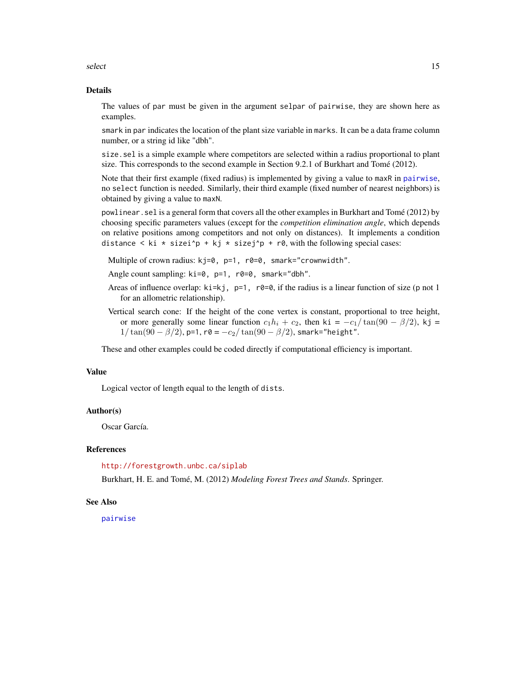<span id="page-14-0"></span>select and the select of the select select  $\sim$  15

#### Details

The values of par must be given in the argument selpar of pairwise, they are shown here as examples.

smark in par indicates the location of the plant size variable in marks. It can be a data frame column number, or a string id like "dbh".

size.sel is a simple example where competitors are selected within a radius proportional to plant size. This corresponds to the second example in Section 9.2.1 of Burkhart and Tomé (2012).

Note that their first example (fixed radius) is implemented by giving a value to maxR in [pairwise](#page-11-1), no select function is needed. Similarly, their third example (fixed number of nearest neighbors) is obtained by giving a value to maxN.

powlinear.sel is a general form that covers all the other examples in Burkhart and Tomé (2012) by choosing specific parameters values (except for the *competition elimination angle*, which depends on relative positions among competitors and not only on distances). It implements a condition distance  $\langle$  ki  $*$  sizei^p + kj  $*$  sizej^p + r0, with the following special cases:

Multiple of crown radius: kj=0, p=1, r0=0, smark="crownwidth".

- Angle count sampling: ki=0, p=1, r0=0, smark="dbh".
- Areas of influence overlap:  $ki=kj$ ,  $p=1$ ,  $r\theta=0$ , if the radius is a linear function of size (p not 1) for an allometric relationship).
- Vertical search cone: If the height of the cone vertex is constant, proportional to tree height, or more generally some linear function  $c_1h_i + c_2$ , then ki =  $-c_1/\tan(90 - \beta/2)$ , kj =  $1/\tan(90 - \beta/2)$ , p=1, r0 =  $-c_2/\tan(90 - \beta/2)$ , smark="height".

These and other examples could be coded directly if computational efficiency is important.

## Value

Logical vector of length equal to the length of dists.

## Author(s)

Oscar García.

#### References

<http://forestgrowth.unbc.ca/siplab>

Burkhart, H. E. and Tomé, M. (2012) *Modeling Forest Trees and Stands*. Springer.

#### See Also

[pairwise](#page-11-1)